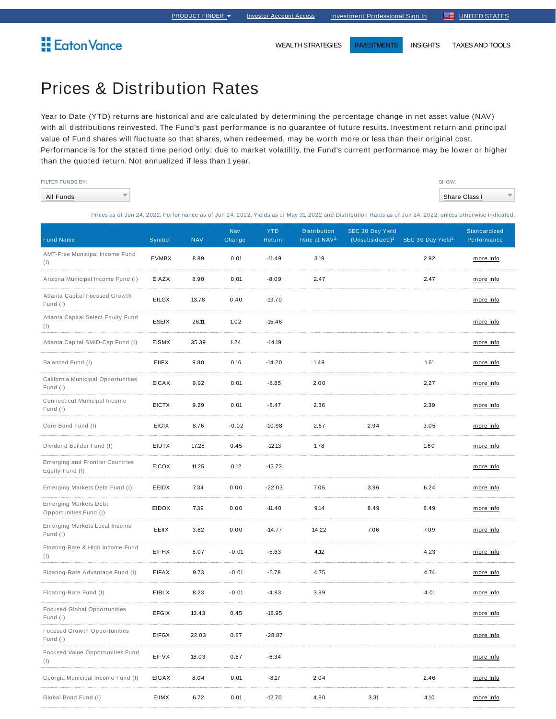WEALTH STRATEGIES **INVESTMENTS** INSIGHTS TAXES AND TOOLS

## **Eaton Vance**

Prices & Distribution Rates

 $\overline{\phantom{a}}$ 

Year to Date (YTD) returns are historical and are calculated by determining the percentage change in net asset value (NAV) with all distributions reinvested. The Fund's past performance is no guarantee of future results. Investment return and principal value of Fund shares will fluctuate so that shares, when redeemed, may be worth more or less than their original cost. Performance is for the stated time period only; due to market volatility, the Fund's current performance may be lower or higher than the quoted return. Not annualized if less than 1 year.

|  |  |  | <b>FILTER FUNDS BY:</b> |
|--|--|--|-------------------------|

All Funds

SHOW: **Share Class I** 

Prices as of Jun 24, 2022, Performance as of Jun 24, 2022, Yields as of May 31, 2022 and Distribution Rates as of Jun 24, 2022, unless otherwise indicated.

| <b>Fund Name</b>                                          | Symbol       | <b>NAV</b> | Nav<br>Change | <b>YTD</b><br>Return | <b>Distribution</b><br>Rate at NAV <sup>2</sup> | SEC 30 Day Yield<br>(Unsubsidized) <sup>1</sup> | SEC 30 Day Yield <sup>1</sup> | Standardized<br>Performance |
|-----------------------------------------------------------|--------------|------------|---------------|----------------------|-------------------------------------------------|-------------------------------------------------|-------------------------------|-----------------------------|
| AMT-Free Municipal Income Fund<br>(1)                     | <b>EVMBX</b> | 8.89       | 0.01          | $-11.49$             | 3.19                                            |                                                 | 2.92                          | more info                   |
| Arizona Municipal Income Fund (I)                         | EIAZX        | 8.90       | 0.01          | $-8.09$              | 2.47                                            |                                                 | 2.47                          | more info                   |
| Atlanta Capital Focused Growth<br>Fund (I)                | <b>EILGX</b> | 13.78      | 0.40          | $-19.70$             |                                                 |                                                 |                               | more info                   |
| Atlanta Capital Select Equity Fund<br>(1)                 | ESEIX        | 28.11      | 1.02          | $-15.46$             |                                                 |                                                 |                               | more info                   |
| Atlanta Capital SMID-Cap Fund (I)                         | <b>EISMX</b> | 35.39      | 1.24          | $-14.19$             |                                                 |                                                 |                               | <u>more info</u>            |
| Balanced Fund (I)                                         | <b>EIIFX</b> | 9.80       | 0.16          | $-14.20$             | 1.49                                            |                                                 | 1.61                          | more info                   |
| California Municipal Opportunities<br>Fund (I)            | <b>EICAX</b> | 9.92       | 0.01          | $-8.85$              | 2.00                                            |                                                 | 2.27                          | <u>more info</u>            |
| Connecticut Municipal Income<br>Fund (I)                  | <b>EICTX</b> | 9.29       | 0.01          | $-8.47$              | 2.36                                            |                                                 | 2.39                          | more info                   |
| Core Bond Fund (I)                                        | <b>EIGIX</b> | 8.76       | $-0.02$       | $-10.98$             | 2.67                                            | 2.94                                            | 3.05                          | more info                   |
| Dividend Builder Fund (I)                                 | <b>EIUTX</b> | 17.28      | 0.45          | $-12.13$             | 1.78                                            |                                                 | 1.60                          | more info                   |
| <b>Emerging and Frontier Countries</b><br>Equity Fund (I) | <b>EICOX</b> | 11.25      | 0.12          | $-13.73$             |                                                 |                                                 |                               | <u>more info</u>            |
| Emerging Markets Debt Fund (I)                            | EEIDX        | 7.34       | 0.00          | $-22.03$             | 7.05                                            | 3.96                                            | 6.24                          | more info                   |
| <b>Emerging Markets Debt</b><br>Opportunities Fund (I)    | <b>EIDOX</b> | 7.39       | 0.00          | $-11.40$             | 9.14                                            | 8.49                                            | 8.49                          | more info                   |
| Emerging Markets Local Income<br>Fund (I)                 | EEIIX        | 3.62       | 0.00          | $-14.77$             | 14.22                                           | 7.06                                            | 7.09                          | more info                   |
| Floating-Rate & High Income Fund<br>(1)                   | EIFHX        | 8.07       | $-0.01$       | $-5.63$              | 4.12                                            |                                                 | 4.23                          | more info                   |
| Floating-Rate Advantage Fund (I)                          | <b>EIFAX</b> | 9.73       | $-0.01$       | $-5.78$              | 4.75                                            |                                                 | 4.74                          | <u>more info</u>            |
| Floating-Rate Fund (I)                                    | EIBLX        | 8.23       | $-0.01$       | $-4.83$              | 3.99                                            |                                                 | 4.01                          | more info                   |
| <b>Focused Global Opportunities</b><br>Fund (I)           | <b>EFGIX</b> | 13.43      | 0.45          | $-18.95$             |                                                 |                                                 |                               | more info                   |
| <b>Focused Growth Opportunities</b><br>Fund (I)           | EIFGX        | 22.03      | 0.87          | -28.87               |                                                 |                                                 |                               | more info                   |
| Focused Value Opportunities Fund<br>$(\vert)$             | <b>EIFVX</b> | 18.03      | 0.67          | $-6.34$              |                                                 |                                                 |                               | more info                   |
| Georgia Municipal Income Fund (I)                         | <b>EIGAX</b> | 8.04       | 0.01          | $-8.17$              | 2.04                                            |                                                 | 2.46                          | <u>more info</u>            |
| Global Bond Fund (I)                                      | EIIMX        | 6.72       | 0.01          | $-12.70$             | 4.80                                            | 3.31                                            | 4.10                          | more info                   |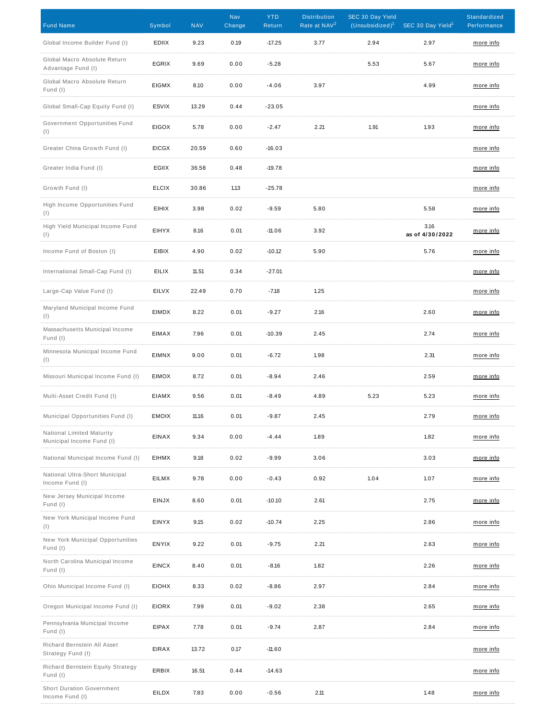| <b>Fund Name</b>                                       | Symbol       | <b>NAV</b> | Nav<br>Change | <b>YTD</b><br>Return | <b>Distribution</b><br>Rate at NAV <sup>2</sup> | SEC 30 Day Yield<br>$(Unsubsidized)^1$ | SEC 30 Day Yield <sup>1</sup> | Standardized<br>Performance |
|--------------------------------------------------------|--------------|------------|---------------|----------------------|-------------------------------------------------|----------------------------------------|-------------------------------|-----------------------------|
| Global Income Builder Fund (I)                         | <b>EDIIX</b> | 9.23       | 0.19          | $-17.25$             | 3.77                                            | 2.94                                   | 2.97                          | more info                   |
| Global Macro Absolute Return<br>Advantage Fund (I)     | <b>EGRIX</b> | 9.69       | 0.00          | $-5.28$              |                                                 | 5.53                                   | 5.67                          | more info                   |
| Global Macro Absolute Return<br>Fund (I)               | <b>EIGMX</b> | 8.10       | 0.00          | $-4.06$              | 3.97                                            |                                        | 4.99                          | more info                   |
| Global Small-Cap Equity Fund (I)                       | <b>ESVIX</b> | 13.29      | 0.44          | $-23.05$             |                                                 |                                        |                               | more info                   |
| Government Opportunities Fund<br>(1)                   | <b>EIGOX</b> | 5.78       | 0.00          | $-2.47$              | 2.21                                            | 1.91                                   | 1.93                          | more info                   |
| Greater China Growth Fund (I)                          | <b>EICGX</b> | 20.59      | 0.60          | $-16.03$             |                                                 |                                        |                               | more info                   |
| Greater India Fund (I)                                 | EGIIX        | 36.58      | 0.48          | $-19.78$             |                                                 |                                        |                               | more info                   |
| Growth Fund (I)                                        | <b>ELCIX</b> | 30.86      | 1.13          | $-25.78$             |                                                 |                                        |                               | more info                   |
| High Income Opportunities Fund<br>(1)                  | EIHIX        | 3.98       | 0.02          | $-9.59$              | 5.80                                            |                                        | 5.58                          | more info                   |
| High Yield Municipal Income Fund<br>(1)                | <b>EIHYX</b> | 8.16       | 0.01          | $-11.06$             | 3.92                                            |                                        | 3.16<br>as of 4/30/2022       | more info                   |
| Income Fund of Boston (I)                              | <b>EIBIX</b> | 4.90       | 0.02          | $-10.12$             | 5.90                                            |                                        | 5.76                          | more info                   |
| International Small-Cap Fund (I)                       | <b>EILIX</b> | 11.51      | 0.34          | $-27.01$             |                                                 |                                        |                               | more info                   |
| Large-Cap Value Fund (I)                               | EILVX        | 22.49      | 0.70          | $-7.18$              | 1.25                                            |                                        |                               | more info                   |
| Maryland Municipal Income Fund<br>(1)                  | EIMDX        | 8.22       | 0.01          | $-9.27$              | 2.16                                            |                                        | 2.60                          | more info                   |
| Massachusetts Municipal Income<br>Fund (I)             | EIMAX        | 7.96       | 0.01          | $-10.39$             | 2.45                                            |                                        | 2.74                          | more info                   |
| Minnesota Municipal Income Fund<br>(1)                 | EIMNX        | 9.00       | 0.01          | $-6.72$              | 1.98                                            |                                        | 2.31                          | more info                   |
| Missouri Municipal Income Fund (I)                     | <b>EIMOX</b> | 8.72       | 0.01          | $-8.94$              | 2.46                                            |                                        | 2.59                          | more info                   |
| Multi-Asset Credit Fund (I)                            | EIAMX        | 9.56       | 0.01          | $-8.49$              | 4.89                                            | 5.23                                   | 5.23                          | more info                   |
| Municipal Opportunities Fund (I)                       | <b>EMOIX</b> | 11.16      | 0.01          | $-9.87$              | 2.45                                            |                                        | 2.79                          | <u>more info</u>            |
| National Limited Maturity<br>Municipal Income Fund (I) | <b>EINAX</b> | 9.34       | 0.00          | $-4.44$              | 1.89                                            |                                        | 1.82                          | more info                   |
| National Municipal Income Fund (I)                     | <b>EIHMX</b> | 9.18       | 0.02          | $-9.99$              | 3.06                                            |                                        | 3.03                          | more info                   |
| National Ultra-Short Municipal<br>Income Fund (I)      | EILMX        | 9.78       | 0.00          | $-0.43$              | 0.92                                            | 1.04                                   | 1.07                          | more info                   |
| New Jersey Municipal Income<br>Fund (I)                | EINJX        | 8.60       | 0.01          | $-10.10$             | 2.61                                            |                                        | 2.75                          | more info                   |
| New York Municipal Income Fund<br>(1)                  | <b>EINYX</b> | 9.15       | 0.02          | $-10.74$             | 2.25                                            |                                        | 2.86                          | more info                   |
| New York Municipal Opportunities<br>Fund (I)           | ENYIX        | 9.22       | 0.01          | $-9.75$              | 2.21                                            |                                        | 2.63                          | more info                   |
| North Carolina Municipal Income<br>Fund (I)            | <b>EINCX</b> | 8.40       | 0.01          | $-8.16$              | 1.82                                            |                                        | 2.26                          | more info                   |
| Ohio Municipal Income Fund (I)                         | <b>EIOHX</b> | 8.33       | 0.02          | $-8.86$              | 2.97                                            |                                        | 2.84                          | more info                   |
| Oregon Municipal Income Fund (I)                       | <b>EIORX</b> | 7.99       | 0.01          | $-9.02$              | 2.38                                            |                                        | 2.65                          | more info                   |
| Pennsylvania Municipal Income<br>Fund (I)              | EIPAX        | 7.78       | 0.01          | $-9.74$              | 2.87                                            |                                        | 2.84                          | more info                   |
| Richard Bernstein All Asset<br>Strategy Fund (I)       | <b>EIRAX</b> | 13.72      | 0.17          | $-11.60$             |                                                 |                                        |                               | more info                   |
| Richard Bernstein Equity Strategy<br>Fund (I)          | ERBIX        | 16.51      | 0.44          | $-14.63$             |                                                 |                                        |                               | more info                   |
| <b>Short Duration Government</b><br>Income Fund (I)    | EILDX        | 7.83       | 0.00          | $-0.56$              | 2.11                                            |                                        | 1.48                          | more info                   |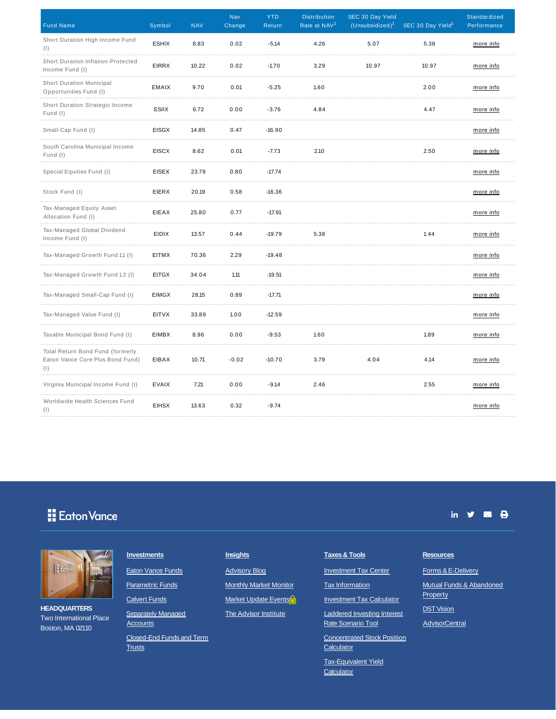| <b>Fund Name</b>                                                            | Symbol       | <b>NAV</b> | Nav<br>Change | <b>YTD</b><br>Return | <b>Distribution</b><br>Rate at NAV <sup>2</sup> | SEC 30 Day Yield<br>(Unsubsidized) <sup>1</sup> | SEC 30 Day Yield <sup>1</sup> | Standardized<br>Performance |
|-----------------------------------------------------------------------------|--------------|------------|---------------|----------------------|-------------------------------------------------|-------------------------------------------------|-------------------------------|-----------------------------|
| Short Duration High Income Fund<br>(1)                                      | <b>ESHIX</b> | 8.83       | 0.02          | $-5.14$              | 4.26                                            | 5.07                                            | 5.38                          | more info                   |
| Short Duration Inflation-Protected<br>Income Fund (I)                       | <b>EIRRX</b> | 10.22      | 0.02          | $-1.70$              | 3.29                                            | 10.97                                           | 10.97                         | more info                   |
| <b>Short Duration Municipal</b><br>Opportunities Fund (I)                   | <b>EMAIX</b> | 9.70       | 0.01          | $-5.25$              | 1.60                                            |                                                 | 2.00                          | more info                   |
| Short Duration Strategic Income<br>Fund (I)                                 | ESIIX        | 6.72       | 0.00          | $-3.76$              | 4.84                                            |                                                 | 4.47                          | more info                   |
| Small-Cap Fund (I)                                                          | <b>EISGX</b> | 14.85      | 0.47          | $-16.90$             |                                                 |                                                 |                               | more info                   |
| South Carolina Municipal Income<br>Fund (I)                                 | <b>EISCX</b> | 8.62       | 0.01          | $-7.73$              | 2.10                                            |                                                 | 2.50                          | more info                   |
| Special Equities Fund (I)                                                   | <b>EISEX</b> | 23.79      | 0.80          | $-17.74$             |                                                 |                                                 |                               | more info                   |
| Stock Fund (I)                                                              | <b>EIERX</b> | 20.19      | 0.58          | $-16.36$             |                                                 |                                                 |                               | more info                   |
| Tax-Managed Equity Asset<br>Allocation Fund (I)                             | EIEAX        | 25.80      | 0.77          | $-17.91$             |                                                 |                                                 |                               | more info                   |
| Tax-Managed Global Dividend<br>Income Fund (I)                              | <b>EIDIX</b> | 13.57      | 0.44          | $-19.79$             | 5.38                                            |                                                 | 1.44                          | more info                   |
| Tax-Managed Growth Fund 1.1 (I)                                             | <b>EITMX</b> | 70.36      | 2.29          | $-19.48$             |                                                 |                                                 |                               | more info                   |
| Tax-Managed Growth Fund 1.2 (I)                                             | <b>EITGX</b> | 34.04      | 1.11          | $-19.51$             |                                                 |                                                 |                               | more info                   |
| Tax-Managed Small-Cap Fund (I)                                              | <b>EIMGX</b> | 28.15      | 0.89          | $-17.71$             |                                                 |                                                 |                               | more info                   |
| Tax-Managed Value Fund (I)                                                  | <b>EITVX</b> | 33.89      | 1.00          | $-12.59$             |                                                 |                                                 |                               | more info                   |
| Taxable Municipal Bond Fund (I)                                             | EIMBX        | 8.96       | 0.00          | $-9.53$              | 1.60                                            |                                                 | 1.89                          | more info                   |
| Total Return Bond Fund (formerly<br>Eaton Vance Core Plus Bond Fund)<br>(1) | EIBAX        | 10.71      | $-0.02$       | $-10.70$             | 3.79                                            | 4.04                                            | 4.14                          | more info                   |
| Virginia Municipal Income Fund (I)                                          | <b>EVAIX</b> | 7.21       | 0.00          | $-9.14$              | 2.46                                            |                                                 | 2.55                          | more info                   |
| Worldwide Health Sciences Fund<br>(1)                                       | <b>EIHSX</b> | 13.63      | 0.32          | $-9.74$              |                                                 |                                                 |                               | more info                   |



**HEADQUARTERS** Two International Place Boston, MA 02110

**Separately Managed Accounts** 

Closed-End Funds and Term **Trusts** 

Market Update Events<sup>2</sup> **The Advisor Institute** 

Investment Tax Calculator

Laddered Investing Interest Rate Scenario Tool

Concentrated Stock Position **Calculator** 

Tax-Equivalent Yield **Calculator** 

## **Resources**

Forms & E-Delivery

Mutual Funds & Abandoned **Property DST Vision** 

in  $y = 0$ 

**AdvisorCentral**